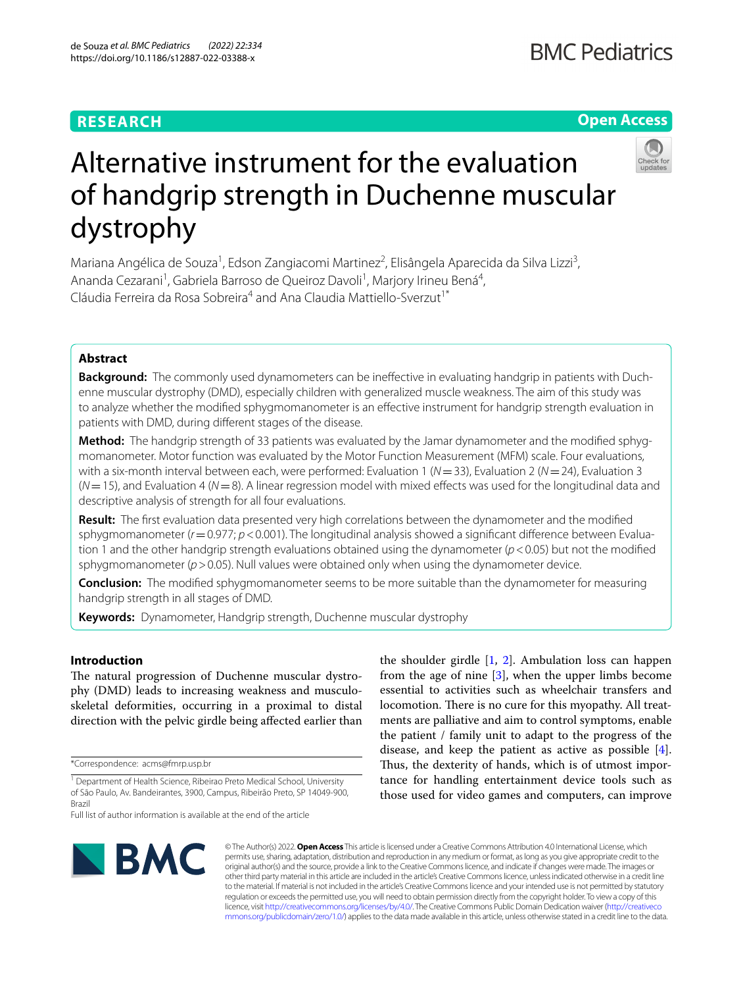# **RESEARCH**

# **Open Access**



# Alternative instrument for the evaluation of handgrip strength in Duchenne muscular dystrophy

Mariana Angélica de Souza<sup>1</sup>, Edson Zangiacomi Martinez<sup>2</sup>, Elisângela Aparecida da Silva Lizzi<sup>3</sup>, Ananda Cezarani<sup>1</sup>, Gabriela Barroso de Queiroz Davoli<sup>1</sup>, Marjory Irineu Bená<sup>4</sup>, Cláudia Ferreira da Rosa Sobreira<sup>4</sup> and Ana Claudia Mattiello-Sverzut<sup>1\*</sup>

# **Abstract**

**Background:** The commonly used dynamometers can be ineffective in evaluating handgrip in patients with Duchenne muscular dystrophy (DMD), especially children with generalized muscle weakness. The aim of this study was to analyze whether the modifed sphygmomanometer is an efective instrument for handgrip strength evaluation in patients with DMD, during diferent stages of the disease.

Method: The handgrip strength of 33 patients was evaluated by the Jamar dynamometer and the modified sphygmomanometer. Motor function was evaluated by the Motor Function Measurement (MFM) scale. Four evaluations, with a six-month interval between each, were performed: Evaluation 1 (*N*=33), Evaluation 2 (*N*=24), Evaluation 3 (*N*=15), and Evaluation 4 (*N*=8). A linear regression model with mixed efects was used for the longitudinal data and descriptive analysis of strength for all four evaluations.

**Result:** The frst evaluation data presented very high correlations between the dynamometer and the modifed sphygmomanometer ( $r=0.977$ ;  $p<0.001$ ). The longitudinal analysis showed a significant difference between Evaluation 1 and the other handgrip strength evaluations obtained using the dynamometer (*p*<0.05) but not the modifed sphygmomanometer ( $p > 0.05$ ). Null values were obtained only when using the dynamometer device.

**Conclusion:** The modifed sphygmomanometer seems to be more suitable than the dynamometer for measuring handgrip strength in all stages of DMD.

**Keywords:** Dynamometer, Handgrip strength, Duchenne muscular dystrophy

# **Introduction**

The natural progression of Duchenne muscular dystrophy (DMD) leads to increasing weakness and musculoskeletal deformities, occurring in a proximal to distal direction with the pelvic girdle being afected earlier than

\*Correspondence: acms@fmrp.usp.br

Full list of author information is available at the end of the article



the shoulder girdle  $[1, 2]$  $[1, 2]$  $[1, 2]$  $[1, 2]$  $[1, 2]$ . Ambulation loss can happen from the age of nine  $[3]$  $[3]$  $[3]$ , when the upper limbs become essential to activities such as wheelchair transfers and locomotion. There is no cure for this myopathy. All treatments are palliative and aim to control symptoms, enable the patient / family unit to adapt to the progress of the disease, and keep the patient as active as possible [\[4](#page-6-3)]. Thus, the dexterity of hands, which is of utmost importance for handling entertainment device tools such as those used for video games and computers, can improve

© The Author(s) 2022. **Open Access** This article is licensed under a Creative Commons Attribution 4.0 International License, which permits use, sharing, adaptation, distribution and reproduction in any medium or format, as long as you give appropriate credit to the original author(s) and the source, provide a link to the Creative Commons licence, and indicate if changes were made. The images or other third party material in this article are included in the article's Creative Commons licence, unless indicated otherwise in a credit line to the material. If material is not included in the article's Creative Commons licence and your intended use is not permitted by statutory regulation or exceeds the permitted use, you will need to obtain permission directly from the copyright holder. To view a copy of this licence, visit [http://creativecommons.org/licenses/by/4.0/.](http://creativecommons.org/licenses/by/4.0/) The Creative Commons Public Domain Dedication waiver ([http://creativeco](http://creativecommons.org/publicdomain/zero/1.0/) [mmons.org/publicdomain/zero/1.0/](http://creativecommons.org/publicdomain/zero/1.0/)) applies to the data made available in this article, unless otherwise stated in a credit line to the data.

<sup>&</sup>lt;sup>1</sup> Department of Health Science, Ribeirao Preto Medical School, University of São Paulo, Av. Bandeirantes, 3900, Campus, Ribeirão Preto, SP 14049‑900, Brazil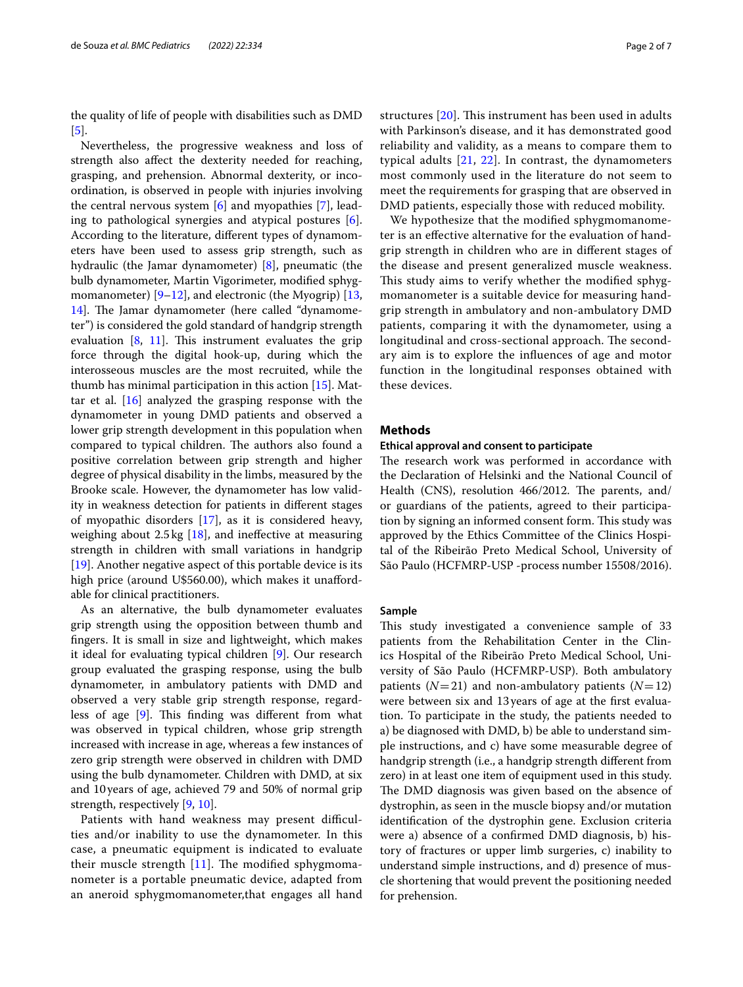the quality of life of people with disabilities such as DMD [[5\]](#page-6-4).

Nevertheless, the progressive weakness and loss of strength also afect the dexterity needed for reaching, grasping, and prehension. Abnormal dexterity, or incoordination, is observed in people with injuries involving the central nervous system [\[6](#page-6-5)] and myopathies [[7\]](#page-6-6), leading to pathological synergies and atypical postures [\[6](#page-6-5)]. According to the literature, diferent types of dynamometers have been used to assess grip strength, such as hydraulic (the Jamar dynamometer) [\[8](#page-6-7)], pneumatic (the bulb dynamometer, Martin Vigorimeter, modifed sphygmomanometer)  $[9-12]$  $[9-12]$ , and electronic (the Myogrip)  $[13, 12]$  $[13, 12]$ [14\]](#page-6-11). The Jamar dynamometer (here called "dynamometer") is considered the gold standard of handgrip strength evaluation  $[8, 11]$  $[8, 11]$  $[8, 11]$ . This instrument evaluates the grip force through the digital hook-up, during which the interosseous muscles are the most recruited, while the thumb has minimal participation in this action [[15\]](#page-6-13). Mattar et al. [[16\]](#page-6-14) analyzed the grasping response with the dynamometer in young DMD patients and observed a lower grip strength development in this population when compared to typical children. The authors also found a positive correlation between grip strength and higher degree of physical disability in the limbs, measured by the Brooke scale. However, the dynamometer has low validity in weakness detection for patients in diferent stages of myopathic disorders [\[17](#page-6-15)], as it is considered heavy, weighing about  $2.5 \text{ kg}$  [\[18](#page-6-16)], and ineffective at measuring strength in children with small variations in handgrip [[19\]](#page-6-17). Another negative aspect of this portable device is its high price (around U\$560.00), which makes it unaffordable for clinical practitioners.

As an alternative, the bulb dynamometer evaluates grip strength using the opposition between thumb and fngers. It is small in size and lightweight, which makes it ideal for evaluating typical children [[9\]](#page-6-8). Our research group evaluated the grasping response, using the bulb dynamometer, in ambulatory patients with DMD and observed a very stable grip strength response, regard-less of age [\[9\]](#page-6-8). This finding was different from what was observed in typical children, whose grip strength increased with increase in age, whereas a few instances of zero grip strength were observed in children with DMD using the bulb dynamometer. Children with DMD, at six and 10years of age, achieved 79 and 50% of normal grip strength, respectively [\[9](#page-6-8), [10](#page-6-18)].

Patients with hand weakness may present difficulties and/or inability to use the dynamometer. In this case, a pneumatic equipment is indicated to evaluate their muscle strength  $[11]$  $[11]$  $[11]$ . The modified sphygmomanometer is a portable pneumatic device, adapted from an aneroid sphygmomanometer,that engages all hand structures  $[20]$  $[20]$  $[20]$ . This instrument has been used in adults with Parkinson's disease, and it has demonstrated good reliability and validity, as a means to compare them to typical adults [\[21,](#page-6-20) [22\]](#page-6-21). In contrast, the dynamometers most commonly used in the literature do not seem to meet the requirements for grasping that are observed in DMD patients, especially those with reduced mobility.

We hypothesize that the modifed sphygmomanometer is an efective alternative for the evaluation of handgrip strength in children who are in diferent stages of the disease and present generalized muscle weakness. This study aims to verify whether the modified sphygmomanometer is a suitable device for measuring handgrip strength in ambulatory and non-ambulatory DMD patients, comparing it with the dynamometer, using a longitudinal and cross-sectional approach. The secondary aim is to explore the infuences of age and motor function in the longitudinal responses obtained with these devices.

# **Methods**

## **Ethical approval and consent to participate**

The research work was performed in accordance with the Declaration of Helsinki and the National Council of Health (CNS), resolution 466/2012. The parents, and/ or guardians of the patients, agreed to their participation by signing an informed consent form. This study was approved by the Ethics Committee of the Clinics Hospital of the Ribeirão Preto Medical School, University of São Paulo (HCFMRP-USP -process number 15508/2016).

#### **Sample**

This study investigated a convenience sample of 33 patients from the Rehabilitation Center in the Clinics Hospital of the Ribeirão Preto Medical School, University of São Paulo (HCFMRP-USP). Both ambulatory patients  $(N=21)$  and non-ambulatory patients  $(N=12)$ were between six and 13years of age at the frst evaluation. To participate in the study, the patients needed to a) be diagnosed with DMD, b) be able to understand simple instructions, and c) have some measurable degree of handgrip strength (i.e., a handgrip strength diferent from zero) in at least one item of equipment used in this study. The DMD diagnosis was given based on the absence of dystrophin, as seen in the muscle biopsy and/or mutation identifcation of the dystrophin gene. Exclusion criteria were a) absence of a confrmed DMD diagnosis, b) history of fractures or upper limb surgeries, c) inability to understand simple instructions, and d) presence of muscle shortening that would prevent the positioning needed for prehension.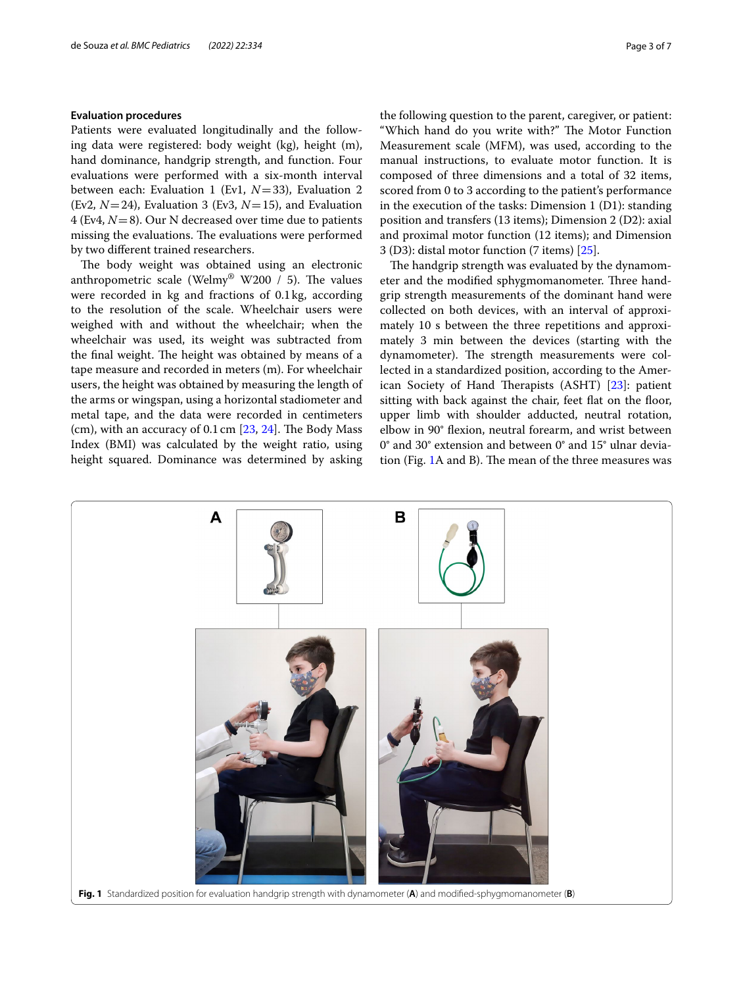# **Evaluation procedures**

Patients were evaluated longitudinally and the following data were registered: body weight (kg), height (m), hand dominance, handgrip strength, and function. Four evaluations were performed with a six-month interval between each: Evaluation 1 (Ev1, *N*=33), Evaluation 2 (Ev2,  $N=24$ ), Evaluation 3 (Ev3,  $N=15$ ), and Evaluation 4 (Ev4, *N*=8). Our N decreased over time due to patients missing the evaluations. The evaluations were performed by two diferent trained researchers.

The body weight was obtained using an electronic anthropometric scale (Welmy<sup>®</sup> W200 / 5). The values were recorded in kg and fractions of 0.1kg, according to the resolution of the scale. Wheelchair users were weighed with and without the wheelchair; when the wheelchair was used, its weight was subtracted from the final weight. The height was obtained by means of a tape measure and recorded in meters (m). For wheelchair users, the height was obtained by measuring the length of the arms or wingspan, using a horizontal stadiometer and metal tape, and the data were recorded in centimeters (cm), with an accuracy of  $0.1 \text{ cm}$  [ $23, 24$  $23, 24$  $23, 24$ ]. The Body Mass Index (BMI) was calculated by the weight ratio, using height squared. Dominance was determined by asking the following question to the parent, caregiver, or patient: "Which hand do you write with?" The Motor Function Measurement scale (MFM), was used, according to the manual instructions, to evaluate motor function. It is composed of three dimensions and a total of 32 items, scored from 0 to 3 according to the patient's performance in the execution of the tasks: Dimension 1 (D1): standing position and transfers (13 items); Dimension 2 (D2): axial and proximal motor function (12 items); and Dimension 3 (D3): distal motor function (7 items) [[25\]](#page-6-24).

The handgrip strength was evaluated by the dynamometer and the modified sphygmomanometer. Three handgrip strength measurements of the dominant hand were collected on both devices, with an interval of approximately 10 s between the three repetitions and approximately 3 min between the devices (starting with the dynamometer). The strength measurements were collected in a standardized position, according to the American Society of Hand Therapists  $(ASHT)$   $[23]$  $[23]$ : patient sitting with back against the chair, feet flat on the floor, upper limb with shoulder adducted, neutral rotation, elbow in 90° fexion, neutral forearm, and wrist between 0° and 30° extension and between 0° and 15° ulnar devia-tion (Fig. [1A](#page-2-0) and B). The mean of the three measures was

<span id="page-2-0"></span>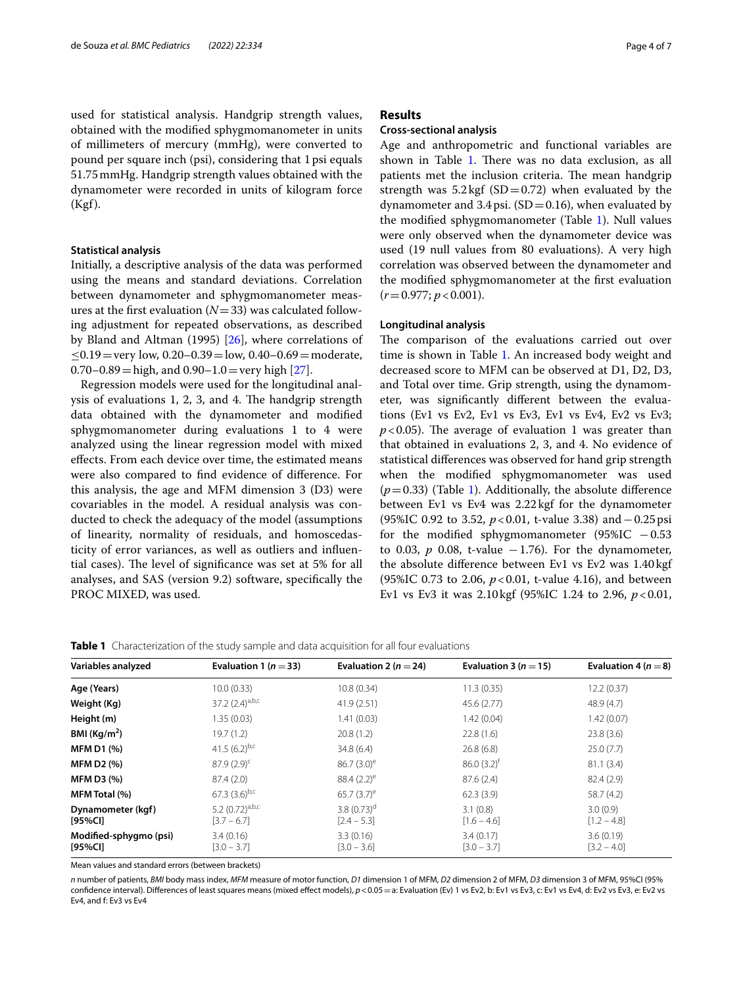used for statistical analysis. Handgrip strength values, obtained with the modifed sphygmomanometer in units of millimeters of mercury (mmHg), were converted to pound per square inch (psi), considering that 1psi equals 51.75mmHg. Handgrip strength values obtained with the dynamometer were recorded in units of kilogram force (Kgf).

### **Statistical analysis**

Initially, a descriptive analysis of the data was performed using the means and standard deviations. Correlation between dynamometer and sphygmomanometer measures at the first evaluation  $(N=33)$  was calculated following adjustment for repeated observations, as described by Bland and Altman (1995) [\[26\]](#page-6-25), where correlations of  $< 0.19$  = very low, 0.20–0.39 = low, 0.40–0.69 = moderate,  $0.70-0.89 =$ high, and  $0.90-1.0 =$ very high  $[27]$  $[27]$  $[27]$ .

Regression models were used for the longitudinal analysis of evaluations 1, 2, 3, and 4. The handgrip strength data obtained with the dynamometer and modifed sphygmomanometer during evaluations 1 to 4 were analyzed using the linear regression model with mixed efects. From each device over time, the estimated means were also compared to fnd evidence of diference. For this analysis, the age and MFM dimension 3 (D3) were covariables in the model. A residual analysis was conducted to check the adequacy of the model (assumptions of linearity, normality of residuals, and homoscedasticity of error variances, as well as outliers and infuential cases). The level of significance was set at 5% for all analyses, and SAS (version 9.2) software, specifcally the PROC MIXED, was used.

## **Results**

## **Cross‑sectional analysis**

Age and anthropometric and functional variables are shown in Table [1.](#page-3-0) There was no data exclusion, as all patients met the inclusion criteria. The mean handgrip strength was  $5.2 \text{ kgf (SD=0.72)}$  when evaluated by the dynamometer and 3.4psi.  $(SD=0.16)$ , when evaluated by the modifed sphygmomanometer (Table [1](#page-3-0)). Null values were only observed when the dynamometer device was used (19 null values from 80 evaluations). A very high correlation was observed between the dynamometer and the modifed sphygmomanometer at the frst evaluation (*r*=0.977; *p*<0.001).

# **Longitudinal analysis**

The comparison of the evaluations carried out over time is shown in Table [1.](#page-3-0) An increased body weight and decreased score to MFM can be observed at D1, D2, D3, and Total over time. Grip strength, using the dynamometer, was signifcantly diferent between the evaluations (Ev1 vs Ev2, Ev1 vs Ev3, Ev1 vs Ev4, Ev2 vs Ev3;  $p < 0.05$ ). The average of evaluation 1 was greater than that obtained in evaluations 2, 3, and 4. No evidence of statistical diferences was observed for hand grip strength when the modifed sphygmomanometer was used  $(p=0.33)$  (Table [1](#page-3-0)). Additionally, the absolute difference between Ev1 vs Ev4 was 2.22 kgf for the dynamometer (95%IC 0.92 to 3.52, *p*<0.01, t-value 3.38) and−0.25psi for the modified sphygmomanometer  $(95\%$ IC  $-0.53$ to 0.03,  $p$  0.08, t-value  $-1.76$ ). For the dynamometer, the absolute diference between Ev1 vs Ev2 was 1.40 kgf (95%IC 0.73 to 2.06, *p*<0.01, t-value 4.16), and between Ev1 vs Ev3 it was 2.10kgf (95%IC 1.24 to 2.96, *p*<0.01,

<span id="page-3-0"></span>

| <b>Table 1</b> Characterization of the study sample and data acquisition for all four evaluations |  |  |
|---------------------------------------------------------------------------------------------------|--|--|
|---------------------------------------------------------------------------------------------------|--|--|

| Variables analyzed                | Evaluation 1 ( $n = 33$ )             | Evaluation 2 ( $n = 24$ )                  | Evaluation 3 ( $n = 15$ )  | Evaluation 4 ( $n = 8$ )   |
|-----------------------------------|---------------------------------------|--------------------------------------------|----------------------------|----------------------------|
| Age (Years)                       | 10.0(0.33)                            | 10.8(0.34)                                 | 11.3(0.35)                 | 12.2(0.37)                 |
| Weight (Kg)                       | 37.2 $(2.4)^{a,b,c}$                  | 41.9(2.51)                                 | 45.6 (2.77)                | 48.9(4.7)                  |
| Height (m)                        | 1.35(0.03)                            | 1.41(0.03)                                 | 1.42(0.04)                 | 1.42(0.07)                 |
| BMI ( $\text{Kg/m}^2$ )           | 19.7(1.2)                             | 20.8(1.2)                                  | 22.8(1.6)                  | 23.8(3.6)                  |
| <b>MFM D1 (%)</b>                 | 41.5 $(6.2)^{b,c}$                    | 34.8(6.4)                                  | 26.8(6.8)                  | 25.0(7.7)                  |
| <b>MFM D2 (%)</b>                 | $87.9(2.9)^c$                         | $86.7(3.0)^e$                              | $86.0(3.2)^{f}$            | 81.1(3.4)                  |
| <b>MFM D3 (%)</b>                 | 87.4(2.0)                             | 88.4 $(2.2)^e$                             | 87.6(2.4)                  | 82.4(2.9)                  |
| MFM Total (%)                     | 67.3 $(3.6)^{b,c}$                    | 65.7 $(3.7)^e$                             | 62.3(3.9)                  | 58.7(4.2)                  |
| Dynamometer (kgf)<br>[95%Cl]      | 5.2 $(0.72)^{a,b,c}$<br>$[3.7 - 6.7]$ | 3.8 $(0.73)$ <sup>d</sup><br>$[2.4 - 5.3]$ | 3.1(0.8)<br>$[1.6 - 4.6]$  | 3.0(0.9)<br>$[1.2 - 4.8]$  |
| Modified-sphygmo (psi)<br>[95%CI] | 3.4(0.16)<br>$[3.0 - 3.7]$            | 3.3(0.16)<br>$[3.0 - 3.6]$                 | 3.4(0.17)<br>$[3.0 - 3.7]$ | 3.6(0.19)<br>$[3.2 - 4.0]$ |

Mean values and standard errors (between brackets)

*n* number of patients, *BMI* body mass index, *MFM* measure of motor function, *D1* dimension 1 of MFM, *D2* dimension 2 of MFM, *D3* dimension 3 of MFM, 95%CI (95% confidence interval). Differences of least squares means (mixed effect models),  $p < 0.05 = a$ : Evaluation (Ev) 1 vs Ev2, b: Ev1 vs Ev3, c: Ev1 vs Ev4, d: Ev2 vs Ev3, e: Ev2 vs Ev3, e Ev4, and f: Ev3 vs Ev4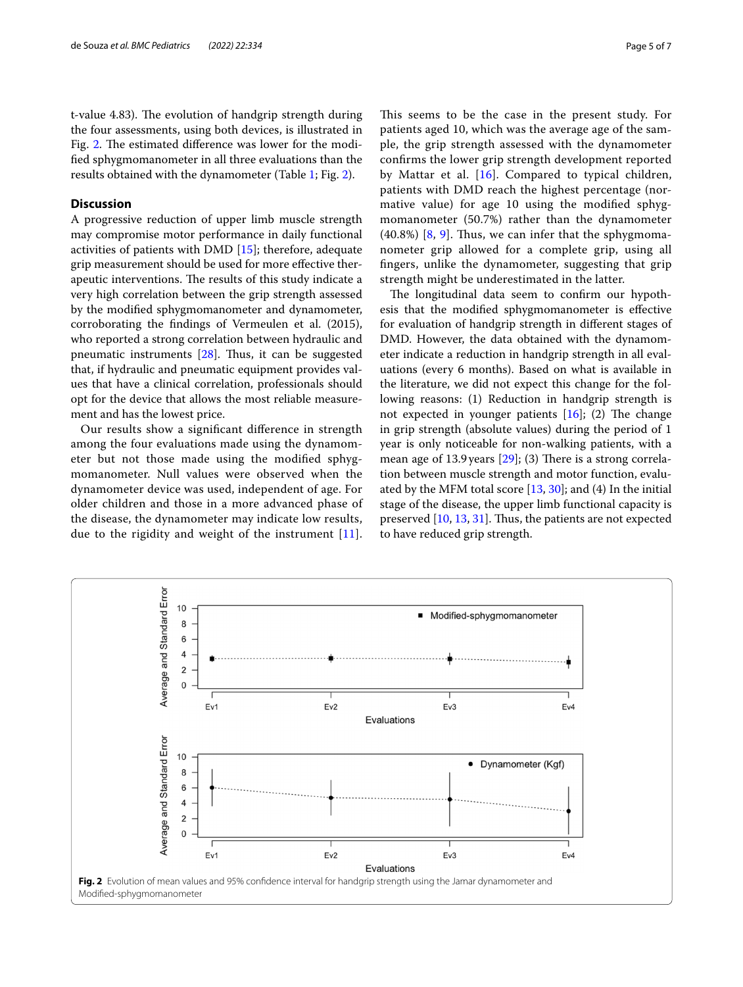t-value 4.83). The evolution of handgrip strength during the four assessments, using both devices, is illustrated in Fig. [2.](#page-4-0) The estimated difference was lower for the modifed sphygmomanometer in all three evaluations than the results obtained with the dynamometer (Table [1;](#page-3-0) Fig. [2](#page-4-0)).

# **Discussion**

A progressive reduction of upper limb muscle strength may compromise motor performance in daily functional activities of patients with DMD [\[15\]](#page-6-13); therefore, adequate grip measurement should be used for more efective therapeutic interventions. The results of this study indicate a very high correlation between the grip strength assessed by the modifed sphygmomanometer and dynamometer, corroborating the fndings of Vermeulen et al. (2015), who reported a strong correlation between hydraulic and pneumatic instruments  $[28]$  $[28]$ . Thus, it can be suggested that, if hydraulic and pneumatic equipment provides values that have a clinical correlation, professionals should opt for the device that allows the most reliable measurement and has the lowest price.

Our results show a signifcant diference in strength among the four evaluations made using the dynamometer but not those made using the modifed sphygmomanometer. Null values were observed when the dynamometer device was used, independent of age. For older children and those in a more advanced phase of the disease, the dynamometer may indicate low results, due to the rigidity and weight of the instrument [[11\]](#page-6-12). This seems to be the case in the present study. For patients aged 10, which was the average age of the sample, the grip strength assessed with the dynamometer confrms the lower grip strength development reported by Mattar et al. [\[16\]](#page-6-14). Compared to typical children, patients with DMD reach the highest percentage (normative value) for age 10 using the modifed sphygmomanometer (50.7%) rather than the dynamometer  $(40.8\%)$  [\[8](#page-6-7), [9\]](#page-6-8). Thus, we can infer that the sphygmomanometer grip allowed for a complete grip, using all fngers, unlike the dynamometer, suggesting that grip strength might be underestimated in the latter.

The longitudinal data seem to confirm our hypothesis that the modifed sphygmomanometer is efective for evaluation of handgrip strength in diferent stages of DMD. However, the data obtained with the dynamometer indicate a reduction in handgrip strength in all evaluations (every 6 months). Based on what is available in the literature, we did not expect this change for the following reasons: (1) Reduction in handgrip strength is not expected in younger patients  $[16]$  $[16]$ ; (2) The change in grip strength (absolute values) during the period of 1 year is only noticeable for non-walking patients, with a mean age of 13.9 years  $[29]$  $[29]$ ; (3) There is a strong correlation between muscle strength and motor function, evaluated by the MFM total score [\[13](#page-6-10), [30\]](#page-6-29); and (4) In the initial stage of the disease, the upper limb functional capacity is preserved  $[10, 13, 31]$  $[10, 13, 31]$  $[10, 13, 31]$  $[10, 13, 31]$ . Thus, the patients are not expected to have reduced grip strength.

<span id="page-4-0"></span>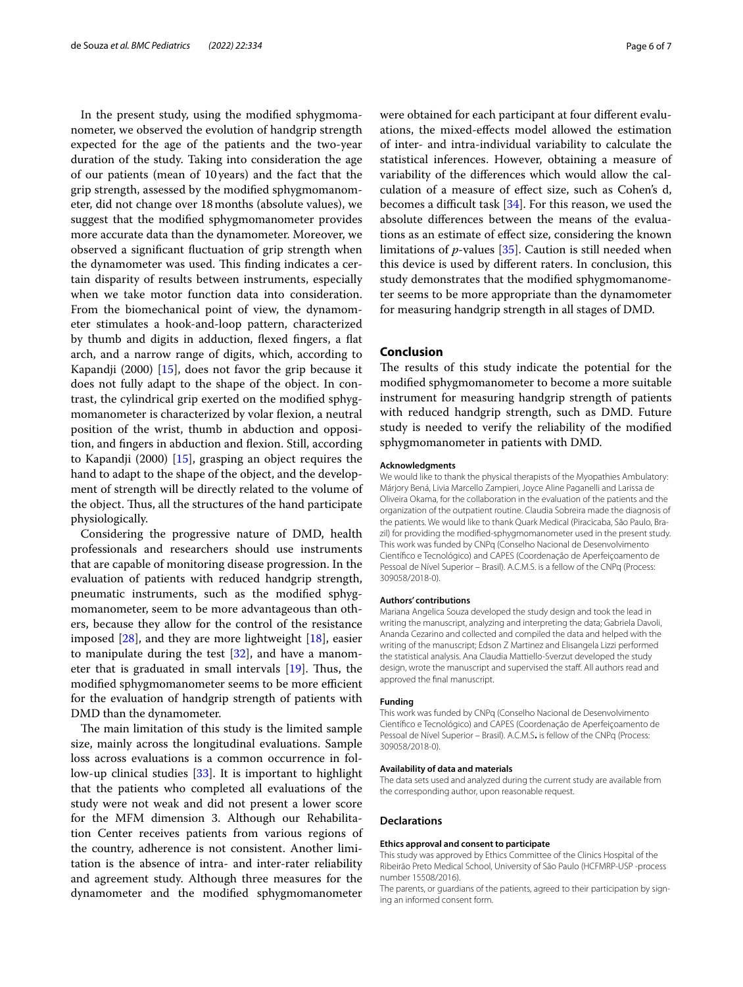In the present study, using the modifed sphygmomanometer, we observed the evolution of handgrip strength expected for the age of the patients and the two-year duration of the study. Taking into consideration the age of our patients (mean of 10 years) and the fact that the grip strength, assessed by the modifed sphygmomanometer, did not change over 18months (absolute values), we suggest that the modifed sphygmomanometer provides more accurate data than the dynamometer. Moreover, we observed a signifcant fuctuation of grip strength when the dynamometer was used. This finding indicates a certain disparity of results between instruments, especially when we take motor function data into consideration. From the biomechanical point of view, the dynamometer stimulates a hook-and-loop pattern, characterized by thumb and digits in adduction, flexed fingers, a flat arch, and a narrow range of digits, which, according to Kapandji (2000) [[15](#page-6-13)], does not favor the grip because it does not fully adapt to the shape of the object. In contrast, the cylindrical grip exerted on the modifed sphygmomanometer is characterized by volar flexion, a neutral position of the wrist, thumb in abduction and opposition, and fngers in abduction and fexion. Still, according to Kapandji (2000) [\[15](#page-6-13)], grasping an object requires the hand to adapt to the shape of the object, and the development of strength will be directly related to the volume of the object. Thus, all the structures of the hand participate physiologically.

Considering the progressive nature of DMD, health professionals and researchers should use instruments that are capable of monitoring disease progression. In the evaluation of patients with reduced handgrip strength, pneumatic instruments, such as the modifed sphygmomanometer, seem to be more advantageous than others, because they allow for the control of the resistance imposed [\[28\]](#page-6-27), and they are more lightweight [\[18](#page-6-16)], easier to manipulate during the test  $[32]$  $[32]$ , and have a manometer that is graduated in small intervals  $[19]$  $[19]$ . Thus, the modified sphygmomanometer seems to be more efficient for the evaluation of handgrip strength of patients with DMD than the dynamometer.

The main limitation of this study is the limited sample size, mainly across the longitudinal evaluations. Sample loss across evaluations is a common occurrence in follow-up clinical studies [[33](#page-6-32)]. It is important to highlight that the patients who completed all evaluations of the study were not weak and did not present a lower score for the MFM dimension 3. Although our Rehabilitation Center receives patients from various regions of the country, adherence is not consistent. Another limitation is the absence of intra- and inter-rater reliability and agreement study. Although three measures for the dynamometer and the modifed sphygmomanometer were obtained for each participant at four diferent evaluations, the mixed-efects model allowed the estimation of inter- and intra-individual variability to calculate the statistical inferences. However, obtaining a measure of variability of the diferences which would allow the calculation of a measure of efect size, such as Cohen's d, becomes a difficult task  $[34]$  $[34]$ . For this reason, we used the absolute diferences between the means of the evaluations as an estimate of efect size, considering the known limitations of *p*-values [[35\]](#page-6-34). Caution is still needed when this device is used by diferent raters. In conclusion, this study demonstrates that the modifed sphygmomanometer seems to be more appropriate than the dynamometer for measuring handgrip strength in all stages of DMD.

# **Conclusion**

The results of this study indicate the potential for the modifed sphygmomanometer to become a more suitable instrument for measuring handgrip strength of patients with reduced handgrip strength, such as DMD. Future study is needed to verify the reliability of the modifed sphygmomanometer in patients with DMD.

#### **Acknowledgments**

We would like to thank the physical therapists of the Myopathies Ambulatory: Márjory Bená, Livia Marcello Zampieri, Joyce Aline Paganelli and Larissa de Oliveira Okama, for the collaboration in the evaluation of the patients and the organization of the outpatient routine. Claudia Sobreira made the diagnosis of the patients. We would like to thank Quark Medical (Piracicaba, São Paulo, Brazil) for providing the modifed-sphygmomanometer used in the present study. This work was funded by CNPq (Conselho Nacional de Desenvolvimento Científco e Tecnológico) and CAPES (Coordenação de Aperfeiçoamento de Pessoal de Nível Superior – Brasil). A.C.M.S. is a fellow of the CNPq (Process: 309058/2018-0).

#### **Authors' contributions**

Mariana Angelica Souza developed the study design and took the lead in writing the manuscript, analyzing and interpreting the data; Gabriela Davoli, Ananda Cezarino and collected and compiled the data and helped with the writing of the manuscript; Edson Z Martinez and Elisangela Lizzi performed the statistical analysis. Ana Claudia Mattiello-Sverzut developed the study design, wrote the manuscript and supervised the staff. All authors read and approved the fnal manuscript.

#### **Funding**

This work was funded by CNPq (Conselho Nacional de Desenvolvimento Científco e Tecnológico) and CAPES (Coordenação de Aperfeiçoamento de Pessoal de Nível Superior – Brasil). A.C.M.S**.** is fellow of the CNPq (Process: 309058/2018-0).

#### **Availability of data and materials**

The data sets used and analyzed during the current study are available from the corresponding author, upon reasonable request.

#### **Declarations**

#### **Ethics approval and consent to participate**

This study was approved by Ethics Committee of the Clinics Hospital of the Ribeirão Preto Medical School, University of São Paulo (HCFMRP-USP -process number 15508/2016).

The parents, or quardians of the patients, agreed to their participation by signing an informed consent form.